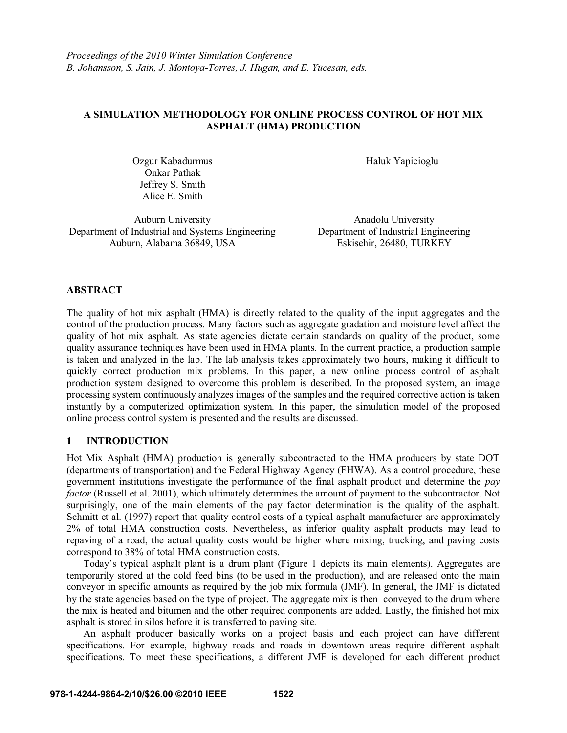# **A SIMULATION METHODOLOGY FOR ONLINE PROCESS CONTROL OF HOT MIX ASPHALT (HMA) PRODUCTION**

Ozgur Kabadurmus Onkar Pathak Jeffrey S. Smith Alice E. Smith

Auburn University Department of Industrial and Systems Engineering Auburn, Alabama 36849, USA Eskisehir, 26480, TURKEY

Anadolu University Department of Industrial Engineering

Haluk Yapicioglu

# **ABSTRACT**

The quality of hot mix asphalt (HMA) is directly related to the quality of the input aggregates and the control of the production process. Many factors such as aggregate gradation and moisture level affect the quality of hot mix asphalt. As state agencies dictate certain standards on quality of the product, some quality assurance techniques have been used in HMA plants. In the current practice, a production sample is taken and analyzed in the lab. The lab analysis takes approximately two hours, making it difficult to quickly correct production mix problems. In this paper, a new online process control of asphalt production system designed to overcome this problem is described. In the proposed system, an image processing system continuously analyzes images of the samples and the required corrective action is taken instantly by a computerized optimization system. In this paper, the simulation model of the proposed online process control system is presented and the results are discussed.

# **1 INTRODUCTION**

Hot Mix Asphalt (HMA) production is generally subcontracted to the HMA producers by state DOT (departments of transportation) and the Federal Highway Agency (FHWA). As a control procedure, these government institutions investigate the performance of the final asphalt product and determine the *pay factor* (Russell et al. 2001), which ultimately determines the amount of payment to the subcontractor. Not surprisingly, one of the main elements of the pay factor determination is the quality of the asphalt. Schmitt et al. (1997) report that quality control costs of a typical asphalt manufacturer are approximately 2% of total HMA construction costs. Nevertheless, as inferior quality asphalt products may lead to repaving of a road, the actual quality costs would be higher where mixing, trucking, and paving costs correspond to 38% of total HMA construction costs.

Today's typical asphalt plant is a drum plant (Figure 1 depicts its main elements). Aggregates are temporarily stored at the cold feed bins (to be used in the production), and are released onto the main conveyor in specific amounts as required by the job mix formula (JMF). In general, the JMF is dictated by the state agencies based on the type of project. The aggregate mix is then conveyed to the drum where the mix is heated and bitumen and the other required components are added. Lastly, the finished hot mix asphalt is stored in silos before it is transferred to paving site.

An asphalt producer basically works on a project basis and each project can have different specifications. For example, highway roads and roads in downtown areas require different asphalt specifications. To meet these specifications, a different JMF is developed for each different product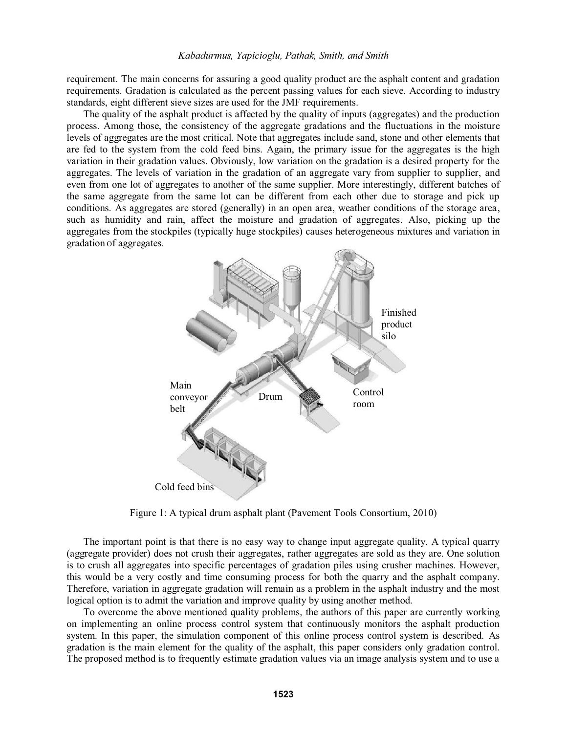requirement. The main concerns for assuring a good quality product are the asphalt content and gradation requirements. Gradation is calculated as the percent passing values for each sieve. According to industry standards, eight different sieve sizes are used for the JMF requirements.

The quality of the asphalt product is affected by the quality of inputs (aggregates) and the production process. Among those, the consistency of the aggregate gradations and the fluctuations in the moisture levels of aggregates are the most critical. Note that aggregates include sand, stone and other elements that are fed to the system from the cold feed bins. Again, the primary issue for the aggregates is the high variation in their gradation values. Obviously, low variation on the gradation is a desired property for the aggregates. The levels of variation in the gradation of an aggregate vary from supplier to supplier, and even from one lot of aggregates to another of the same supplier. More interestingly, different batches of the same aggregate from the same lot can be different from each other due to storage and pick up conditions. As aggregates are stored (generally) in an open area, weather conditions of the storage area, such as humidity and rain, affect the moisture and gradation of aggregates. Also, picking up the aggregates from the stockpiles (typically huge stockpiles) causes heterogeneous mixtures and variation in gradation Of aggregates.



Figure 1: A typical drum asphalt plant (Pavement Tools Consortium, 2010)

The important point is that there is no easy way to change input aggregate quality. A typical quarry (aggregate provider) does not crush their aggregates, rather aggregates are sold as they are. One solution is to crush all aggregates into specific percentages of gradation piles using crusher machines. However, this would be a very costly and time consuming process for both the quarry and the asphalt company. Therefore, variation in aggregate gradation will remain as a problem in the asphalt industry and the most logical option is to admit the variation and improve quality by using another method.

To overcome the above mentioned quality problems, the authors of this paper are currently working on implementing an online process control system that continuously monitors the asphalt production system. In this paper, the simulation component of this online process control system is described. As gradation is the main element for the quality of the asphalt, this paper considers only gradation control. The proposed method is to frequently estimate gradation values via an image analysis system and to use a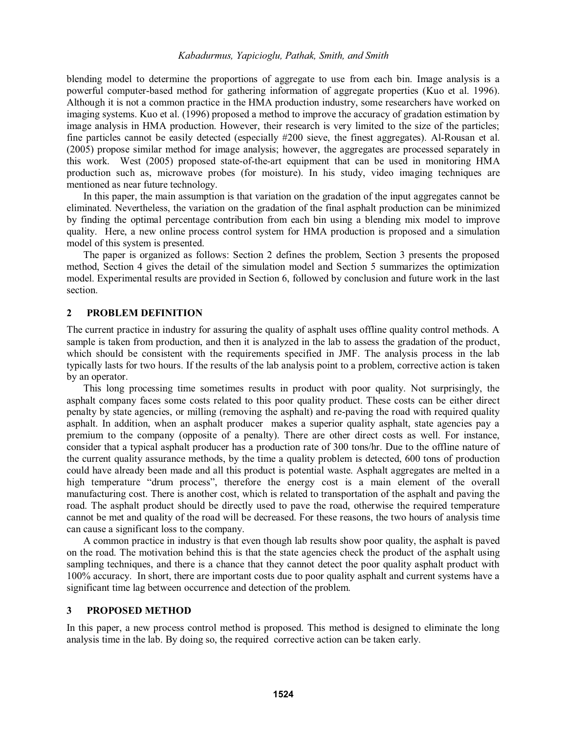blending model to determine the proportions of aggregate to use from each bin. Image analysis is a powerful computer-based method for gathering information of aggregate properties (Kuo et al. 1996). Although it is not a common practice in the HMA production industry, some researchers have worked on imaging systems. Kuo et al. (1996) proposed a method to improve the accuracy of gradation estimation by image analysis in HMA production. However, their research is very limited to the size of the particles; fine particles cannot be easily detected (especially #200 sieve, the finest aggregates). Al-Rousan et al. (2005) propose similar method for image analysis; however, the aggregates are processed separately in this work. West (2005) proposed state-of-the-art equipment that can be used in monitoring HMA production such as, microwave probes (for moisture). In his study, video imaging techniques are mentioned as near future technology.

In this paper, the main assumption is that variation on the gradation of the input aggregates cannot be eliminated. Nevertheless, the variation on the gradation of the final asphalt production can be minimized by finding the optimal percentage contribution from each bin using a blending mix model to improve quality. Here, a new online process control system for HMA production is proposed and a simulation model of this system is presented.

The paper is organized as follows: Section 2 defines the problem, Section 3 presents the proposed method, Section 4 gives the detail of the simulation model and Section 5 summarizes the optimization model. Experimental results are provided in Section 6, followed by conclusion and future work in the last section.

#### **2 PROBLEM DEFINITION**

The current practice in industry for assuring the quality of asphalt uses offline quality control methods. A sample is taken from production, and then it is analyzed in the lab to assess the gradation of the product, which should be consistent with the requirements specified in JMF. The analysis process in the lab typically lasts for two hours. If the results of the lab analysis point to a problem, corrective action is taken by an operator.

 This long processing time sometimes results in product with poor quality. Not surprisingly, the asphalt company faces some costs related to this poor quality product. These costs can be either direct penalty by state agencies, or milling (removing the asphalt) and re-paving the road with required quality asphalt. In addition, when an asphalt producer makes a superior quality asphalt, state agencies pay a premium to the company (opposite of a penalty). There are other direct costs as well. For instance, consider that a typical asphalt producer has a production rate of 300 tons/hr. Due to the offline nature of the current quality assurance methods, by the time a quality problem is detected, 600 tons of production could have already been made and all this product is potential waste. Asphalt aggregates are melted in a high temperature "drum process", therefore the energy cost is a main element of the overall manufacturing cost. There is another cost, which is related to transportation of the asphalt and paving the road. The asphalt product should be directly used to pave the road, otherwise the required temperature cannot be met and quality of the road will be decreased. For these reasons, the two hours of analysis time can cause a significant loss to the company.

 A common practice in industry is that even though lab results show poor quality, the asphalt is paved on the road. The motivation behind this is that the state agencies check the product of the asphalt using sampling techniques, and there is a chance that they cannot detect the poor quality asphalt product with 100% accuracy. In short, there are important costs due to poor quality asphalt and current systems have a significant time lag between occurrence and detection of the problem.

### **3 PROPOSED METHOD**

In this paper, a new process control method is proposed. This method is designed to eliminate the long analysis time in the lab. By doing so, the required corrective action can be taken early.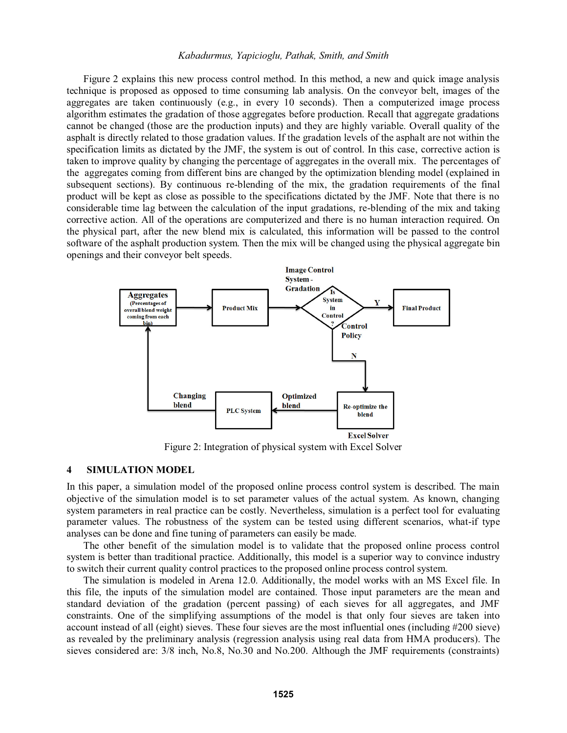Figure 2 explains this new process control method. In this method, a new and quick image analysis technique is proposed as opposed to time consuming lab analysis. On the conveyor belt, images of the aggregates are taken continuously (e.g., in every 10 seconds). Then a computerized image process algorithm estimates the gradation of those aggregates before production. Recall that aggregate gradations cannot be changed (those are the production inputs) and they are highly variable. Overall quality of the asphalt is directly related to those gradation values. If the gradation levels of the asphalt are not within the specification limits as dictated by the JMF, the system is out of control. In this case, corrective action is taken to improve quality by changing the percentage of aggregates in the overall mix. The percentages of the aggregates coming from different bins are changed by the optimization blending model (explained in subsequent sections). By continuous re-blending of the mix, the gradation requirements of the final product will be kept as close as possible to the specifications dictated by the JMF. Note that there is no considerable time lag between the calculation of the input gradations, re-blending of the mix and taking corrective action. All of the operations are computerized and there is no human interaction required. On the physical part, after the new blend mix is calculated, this information will be passed to the control software of the asphalt production system. Then the mix will be changed using the physical aggregate bin openings and their conveyor belt speeds.



Figure 2: Integration of physical system with Excel Solver

## **4 SIMULATION MODEL**

In this paper, a simulation model of the proposed online process control system is described. The main objective of the simulation model is to set parameter values of the actual system. As known, changing system parameters in real practice can be costly. Nevertheless, simulation is a perfect tool for evaluating parameter values. The robustness of the system can be tested using different scenarios, what-if type analyses can be done and fine tuning of parameters can easily be made.

The other benefit of the simulation model is to validate that the proposed online process control system is better than traditional practice. Additionally, this model is a superior way to convince industry to switch their current quality control practices to the proposed online process control system.

The simulation is modeled in Arena 12.0. Additionally, the model works with an MS Excel file. In this file, the inputs of the simulation model are contained. Those input parameters are the mean and standard deviation of the gradation (percent passing) of each sieves for all aggregates, and JMF constraints. One of the simplifying assumptions of the model is that only four sieves are taken into account instead of all (eight) sieves. These four sieves are the most influential ones (including #200 sieve) as revealed by the preliminary analysis (regression analysis using real data from HMA producers). The sieves considered are: 3/8 inch, No.8, No.30 and No.200. Although the JMF requirements (constraints)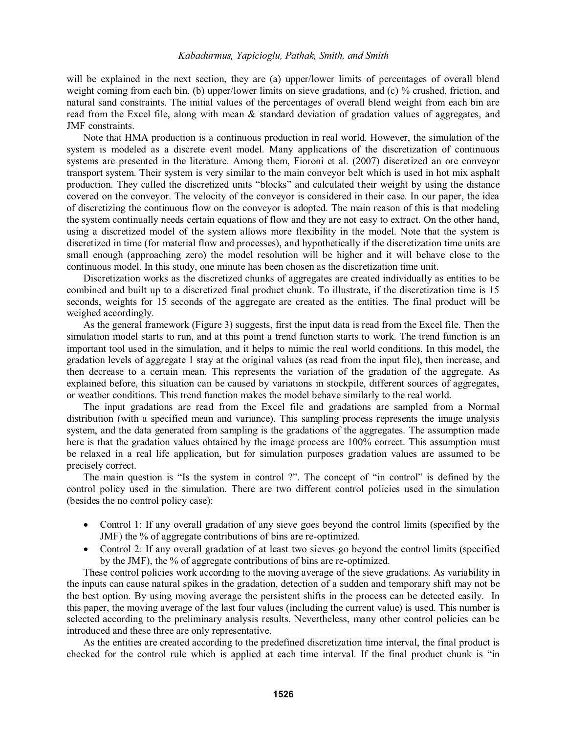will be explained in the next section, they are (a) upper/lower limits of percentages of overall blend weight coming from each bin, (b) upper/lower limits on sieve gradations, and (c) % crushed, friction, and natural sand constraints. The initial values of the percentages of overall blend weight from each bin are read from the Excel file, along with mean & standard deviation of gradation values of aggregates, and JMF constraints.

Note that HMA production is a continuous production in real world. However, the simulation of the system is modeled as a discrete event model. Many applications of the discretization of continuous systems are presented in the literature. Among them, Fioroni et al. (2007) discretized an ore conveyor transport system. Their system is very similar to the main conveyor belt which is used in hot mix asphalt production. They called the discretized units "blocks" and calculated their weight by using the distance covered on the conveyor. The velocity of the conveyor is considered in their case. In our paper, the idea of discretizing the continuous flow on the conveyor is adopted. The main reason of this is that modeling the system continually needs certain equations of flow and they are not easy to extract. On the other hand, using a discretized model of the system allows more flexibility in the model. Note that the system is discretized in time (for material flow and processes), and hypothetically if the discretization time units are small enough (approaching zero) the model resolution will be higher and it will behave close to the continuous model. In this study, one minute has been chosen as the discretization time unit.

Discretization works as the discretized chunks of aggregates are created individually as entities to be combined and built up to a discretized final product chunk. To illustrate, if the discretization time is 15 seconds, weights for 15 seconds of the aggregate are created as the entities. The final product will be weighed accordingly.

As the general framework (Figure 3) suggests, first the input data is read from the Excel file. Then the simulation model starts to run, and at this point a trend function starts to work. The trend function is an important tool used in the simulation, and it helps to mimic the real world conditions. In this model, the gradation levels of aggregate 1 stay at the original values (as read from the input file), then increase, and then decrease to a certain mean. This represents the variation of the gradation of the aggregate. As explained before, this situation can be caused by variations in stockpile, different sources of aggregates, or weather conditions. This trend function makes the model behave similarly to the real world.

The input gradations are read from the Excel file and gradations are sampled from a Normal distribution (with a specified mean and variance). This sampling process represents the image analysis system, and the data generated from sampling is the gradations of the aggregates. The assumption made here is that the gradation values obtained by the image process are 100% correct. This assumption must be relaxed in a real life application, but for simulation purposes gradation values are assumed to be precisely correct.

The main question is "Is the system in control ?". The concept of "in control" is defined by the control policy used in the simulation. There are two different control policies used in the simulation (besides the no control policy case):

- Control 1: If any overall gradation of any sieve goes beyond the control limits (specified by the JMF) the % of aggregate contributions of bins are re-optimized.
- Control 2: If any overall gradation of at least two sieves go beyond the control limits (specified by the JMF), the % of aggregate contributions of bins are re-optimized.

These control policies work according to the moving average of the sieve gradations. As variability in the inputs can cause natural spikes in the gradation, detection of a sudden and temporary shift may not be the best option. By using moving average the persistent shifts in the process can be detected easily. In this paper, the moving average of the last four values (including the current value) is used. This number is selected according to the preliminary analysis results. Nevertheless, many other control policies can be introduced and these three are only representative.

As the entities are created according to the predefined discretization time interval, the final product is checked for the control rule which is applied at each time interval. If the final product chunk is "in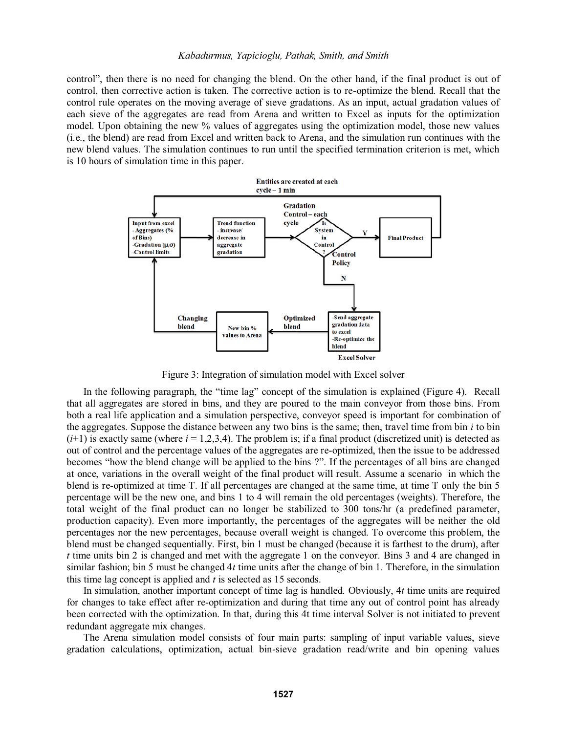control", then there is no need for changing the blend. On the other hand, if the final product is out of control, then corrective action is taken. The corrective action is to re-optimize the blend. Recall that the control rule operates on the moving average of sieve gradations. As an input, actual gradation values of each sieve of the aggregates are read from Arena and written to Excel as inputs for the optimization model. Upon obtaining the new % values of aggregates using the optimization model, those new values (i.e., the blend) are read from Excel and written back to Arena, and the simulation run continues with the new blend values. The simulation continues to run until the specified termination criterion is met, which is 10 hours of simulation time in this paper.



Figure 3: Integration of simulation model with Excel solver

In the following paragraph, the "time lag" concept of the simulation is explained (Figure 4). Recall that all aggregates are stored in bins, and they are poured to the main conveyor from those bins. From both a real life application and a simulation perspective, conveyor speed is important for combination of the aggregates. Suppose the distance between any two bins is the same; then, travel time from bin *i* to bin  $(i+1)$  is exactly same (where  $i = 1,2,3,4$ ). The problem is; if a final product (discretized unit) is detected as out of control and the percentage values of the aggregates are re-optimized, then the issue to be addressed becomes "how the blend change will be applied to the bins ?". If the percentages of all bins are changed at once, variations in the overall weight of the final product will result. Assume a scenario in which the blend is re-optimized at time T. If all percentages are changed at the same time, at time T only the bin 5 percentage will be the new one, and bins 1 to 4 will remain the old percentages (weights). Therefore, the total weight of the final product can no longer be stabilized to 300 tons/hr (a predefined parameter, production capacity). Even more importantly, the percentages of the aggregates will be neither the old percentages nor the new percentages, because overall weight is changed. To overcome this problem, the blend must be changed sequentially. First, bin 1 must be changed (because it is farthest to the drum), after *t* time units bin 2 is changed and met with the aggregate 1 on the conveyor. Bins 3 and 4 are changed in similar fashion; bin 5 must be changed 4*t* time units after the change of bin 1. Therefore, in the simulation this time lag concept is applied and *t* is selected as 15 seconds.

In simulation, another important concept of time lag is handled. Obviously, 4*t* time units are required for changes to take effect after re-optimization and during that time any out of control point has already been corrected with the optimization. In that, during this 4t time interval Solver is not initiated to prevent redundant aggregate mix changes.

 The Arena simulation model consists of four main parts: sampling of input variable values, sieve gradation calculations, optimization, actual bin-sieve gradation read/write and bin opening values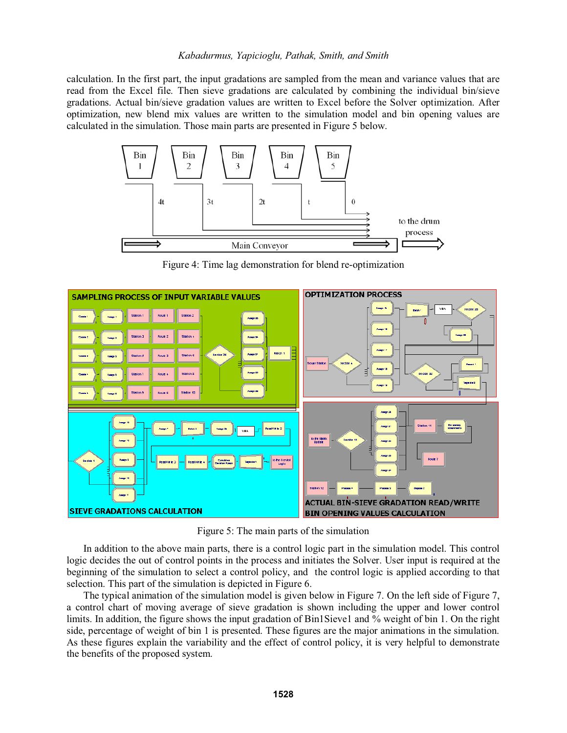calculation. In the first part, the input gradations are sampled from the mean and variance values that are read from the Excel file. Then sieve gradations are calculated by combining the individual bin/sieve gradations. Actual bin/sieve gradation values are written to Excel before the Solver optimization. After optimization, new blend mix values are written to the simulation model and bin opening values are calculated in the simulation. Those main parts are presented in Figure 5 below.



Figure 4: Time lag demonstration for blend re-optimization



Figure 5: The main parts of the simulation

 In addition to the above main parts, there is a control logic part in the simulation model. This control logic decides the out of control points in the process and initiates the Solver. User input is required at the beginning of the simulation to select a control policy, and the control logic is applied according to that selection. This part of the simulation is depicted in Figure 6.

 The typical animation of the simulation model is given below in Figure 7. On the left side of Figure 7, a control chart of moving average of sieve gradation is shown including the upper and lower control limits. In addition, the figure shows the input gradation of Bin1Sieve1 and % weight of bin 1. On the right side, percentage of weight of bin 1 is presented. These figures are the major animations in the simulation. As these figures explain the variability and the effect of control policy, it is very helpful to demonstrate the benefits of the proposed system.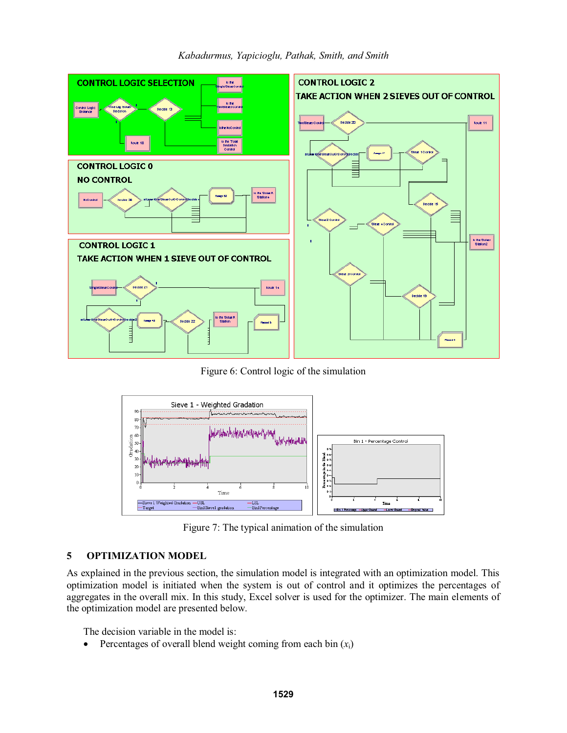

Figure 6: Control logic of the simulation



Figure 7: The typical animation of the simulation

# **5 OPTIMIZATION MODEL**

As explained in the previous section, the simulation model is integrated with an optimization model. This optimization model is initiated when the system is out of control and it optimizes the percentages of aggregates in the overall mix. In this study, Excel solver is used for the optimizer. The main elements of the optimization model are presented below.

The decision variable in the model is:

 $\bullet$ Percentages of overall blend weight coming from each bin  $(x_i)$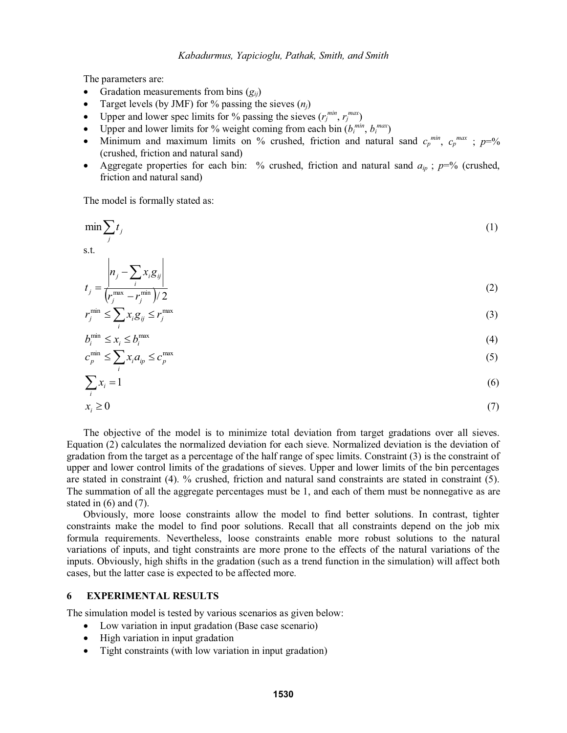The parameters are:

- $\bullet$ Gradation measurements from bins (*gij*)
- $\bullet$ Target levels (by JMF) for % passing the sieves (*nj*)
- Upper and lower spec limits for % passing the sieves  $(r_j^{min}, r_j^{max})$
- Upper and lower limits for % weight coming from each bin  $(b_i^{min}, b_i^{max})$
- Minimum and maximum limits on % crushed, friction and natural sand  $c_p^{min}$ ,  $c_p^{max}$ ;  $p=8/6$ (crushed, friction and natural sand)
- Aggregate properties for each bin: % crushed, friction and natural sand  $a_{ip}$ ;  $p=$ % (crushed, friction and natural sand)

The model is formally stated as:

$$
\min \sum_{j} t_j \tag{1}
$$

s.t.  
\n
$$
t_i = \frac{\left| n_j - \sum_i x_i g_{ij} \right|}{\left| m_j - \sum_i x_i g_{ij} \right|}
$$
\n(2)

$$
t_j = \frac{1}{\left(r_j^{\max} - r_j^{\min}\right)/2}
$$
  
\n
$$
r_j^{\min} \le \sum x_i g_{ij} \le r_j^{\max}
$$
\n(2)

$$
b_i^{\min} \le x_i \le b_i^{\max} \tag{4}
$$

$$
c_p^{\min} \le \sum_i x_i a_{ip} \le c_p^{\max} \tag{5}
$$

$$
\sum_{i} x_i = 1 \tag{6}
$$

$$
x_i \ge 0 \tag{7}
$$

 The objective of the model is to minimize total deviation from target gradations over all sieves. Equation (2) calculates the normalized deviation for each sieve. Normalized deviation is the deviation of gradation from the target as a percentage of the half range of spec limits. Constraint (3) is the constraint of upper and lower control limits of the gradations of sieves. Upper and lower limits of the bin percentages are stated in constraint (4). % crushed, friction and natural sand constraints are stated in constraint (5). The summation of all the aggregate percentages must be 1, and each of them must be nonnegative as are stated in  $(6)$  and  $(7)$ .

 Obviously, more loose constraints allow the model to find better solutions. In contrast, tighter constraints make the model to find poor solutions. Recall that all constraints depend on the job mix formula requirements. Nevertheless, loose constraints enable more robust solutions to the natural variations of inputs, and tight constraints are more prone to the effects of the natural variations of the inputs. Obviously, high shifts in the gradation (such as a trend function in the simulation) will affect both cases, but the latter case is expected to be affected more.

# **6 EXPERIMENTAL RESULTS**

The simulation model is tested by various scenarios as given below:

- Low variation in input gradation (Base case scenario)
- High variation in input gradation
- Tight constraints (with low variation in input gradation)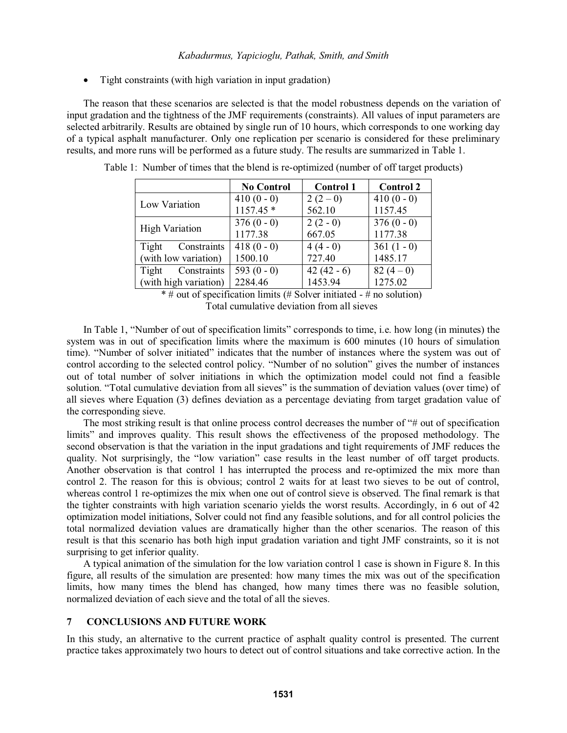$\bullet$ Tight constraints (with high variation in input gradation)

 The reason that these scenarios are selected is that the model robustness depends on the variation of input gradation and the tightness of the JMF requirements (constraints). All values of input parameters are selected arbitrarily. Results are obtained by single run of 10 hours, which corresponds to one working day of a typical asphalt manufacturer. Only one replication per scenario is considered for these preliminary results, and more runs will be performed as a future study. The results are summarized in Table 1.

|                       | <b>No Control</b> | <b>Control 1</b> | <b>Control 2</b> |
|-----------------------|-------------------|------------------|------------------|
| Low Variation         | 410 $(0 - 0)$     | $2(2-0)$         | 410 $(0 - 0)$    |
|                       | 1157.45 *         | 562.10           | 1157.45          |
| <b>High Variation</b> | $376(0-0)$        | $2(2-0)$         | $376(0-0)$       |
|                       | 1177.38           | 667.05           | 1177.38          |
| Tight Constraints     | 418 $(0 - 0)$     | $4(4-0)$         | 361 $(1 - 0)$    |
| (with low variation)  | 1500.10           | 727.40           | 1485.17          |
| Tight Constraints     | 593 $(0 - 0)$     | 42 $(42 - 6)$    | $82(4-0)$        |
| (with high variation) | 2284.46           | 1453.94          | 1275.02          |

Table 1: Number of times that the blend is re-optimized (number of off target products)

\* # out of specification limits (# Solver initiated - # no solution) Total cumulative deviation from all sieves

In Table 1, "Number of out of specification limits" corresponds to time, i.e. how long (in minutes) the system was in out of specification limits where the maximum is 600 minutes (10 hours of simulation time). "Number of solver initiated" indicates that the number of instances where the system was out of control according to the selected control policy. "Number of no solution" gives the number of instances out of total number of solver initiations in which the optimization model could not find a feasible solution. "Total cumulative deviation from all sieves" is the summation of deviation values (over time) of all sieves where Equation (3) defines deviation as a percentage deviating from target gradation value of the corresponding sieve.

The most striking result is that online process control decreases the number of "# out of specification limits" and improves quality. This result shows the effectiveness of the proposed methodology. The second observation is that the variation in the input gradations and tight requirements of JMF reduces the quality. Not surprisingly, the "low variation" case results in the least number of off target products. Another observation is that control 1 has interrupted the process and re-optimized the mix more than control 2. The reason for this is obvious; control 2 waits for at least two sieves to be out of control, whereas control 1 re-optimizes the mix when one out of control sieve is observed. The final remark is that the tighter constraints with high variation scenario yields the worst results. Accordingly, in 6 out of 42 optimization model initiations, Solver could not find any feasible solutions, and for all control policies the total normalized deviation values are dramatically higher than the other scenarios. The reason of this result is that this scenario has both high input gradation variation and tight JMF constraints, so it is not surprising to get inferior quality.

 A typical animation of the simulation for the low variation control 1 case is shown in Figure 8. In this figure, all results of the simulation are presented: how many times the mix was out of the specification limits, how many times the blend has changed, how many times there was no feasible solution, normalized deviation of each sieve and the total of all the sieves.

# **7 CONCLUSIONS AND FUTURE WORK**

In this study, an alternative to the current practice of asphalt quality control is presented. The current practice takes approximately two hours to detect out of control situations and take corrective action. In the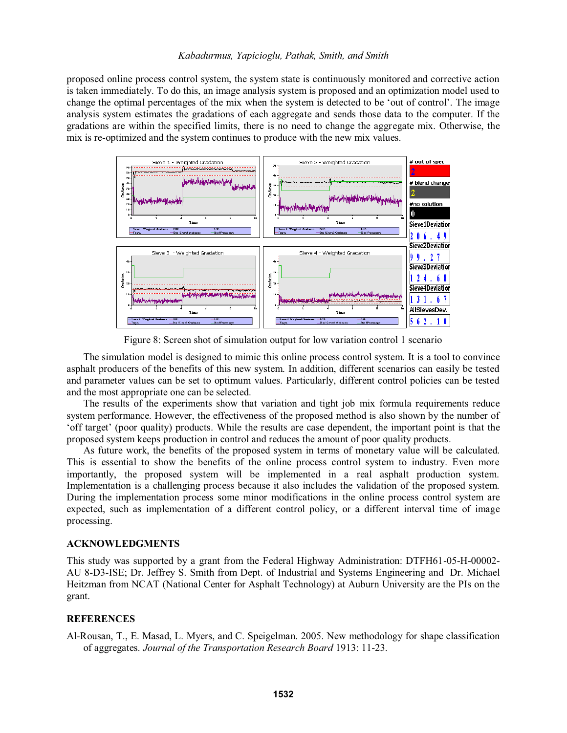proposed online process control system, the system state is continuously monitored and corrective action is taken immediately. To do this, an image analysis system is proposed and an optimization model used to change the optimal percentages of the mix when the system is detected to be 'out of control'. The image analysis system estimates the gradations of each aggregate and sends those data to the computer. If the gradations are within the specified limits, there is no need to change the aggregate mix. Otherwise, the mix is re-optimized and the system continues to produce with the new mix values.



Figure 8: Screen shot of simulation output for low variation control 1 scenario

The simulation model is designed to mimic this online process control system. It is a tool to convince asphalt producers of the benefits of this new system. In addition, different scenarios can easily be tested and parameter values can be set to optimum values. Particularly, different control policies can be tested and the most appropriate one can be selected.

 The results of the experiments show that variation and tight job mix formula requirements reduce system performance. However, the effectiveness of the proposed method is also shown by the number of Xoff target (poor quality) products. While the results are case dependent, the important point is that the proposed system keeps production in control and reduces the amount of poor quality products.

 As future work, the benefits of the proposed system in terms of monetary value will be calculated. This is essential to show the benefits of the online process control system to industry. Even more importantly, the proposed system will be implemented in a real asphalt production system. Implementation is a challenging process because it also includes the validation of the proposed system. During the implementation process some minor modifications in the online process control system are expected, such as implementation of a different control policy, or a different interval time of image processing.

#### **ACKNOWLEDGMENTS**

This study was supported by a grant from the Federal Highway Administration: DTFH61-05-H-00002- AU 8-D3-ISE; Dr. Jeffrey S. Smith from Dept. of Industrial and Systems Engineering and Dr. Michael Heitzman from NCAT (National Center for Asphalt Technology) at Auburn University are the PIs on the grant.

## **REFERENCES**

Al-Rousan, T., E. Masad, L. Myers, and C. Speigelman. 2005. New methodology for shape classification of aggregates. *Journal of the Transportation Research Board* 1913: 11-23.